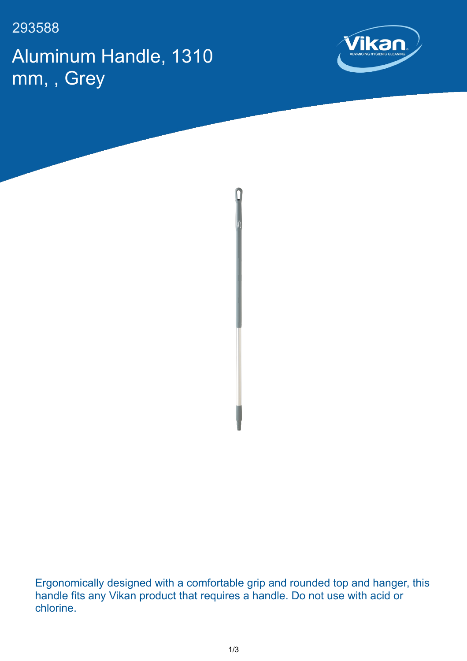293588

Aluminum Handle, 1310 mm, , Grey





Ergonomically designed with a comfortable grip and rounded top and hanger, this handle fits any Vikan product that requires a handle. Do not use with acid or chlorine.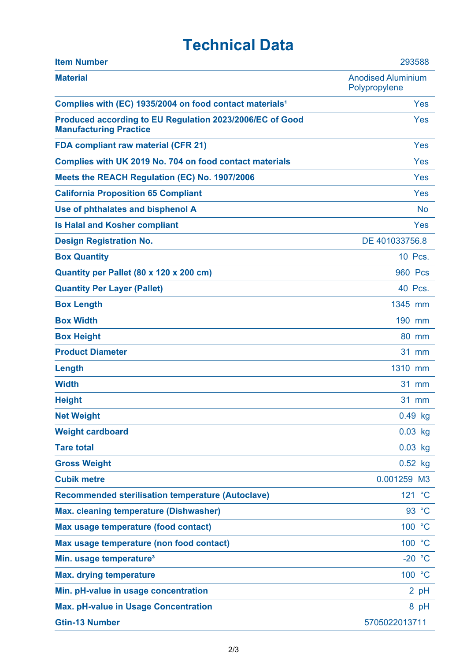## **Technical Data**

| <b>Item Number</b>                                                                        | 293588                                     |
|-------------------------------------------------------------------------------------------|--------------------------------------------|
| <b>Material</b>                                                                           | <b>Anodised Aluminium</b><br>Polypropylene |
| Complies with (EC) 1935/2004 on food contact materials <sup>1</sup>                       | Yes                                        |
| Produced according to EU Regulation 2023/2006/EC of Good<br><b>Manufacturing Practice</b> | Yes                                        |
| <b>FDA compliant raw material (CFR 21)</b>                                                | Yes                                        |
| Complies with UK 2019 No. 704 on food contact materials                                   | <b>Yes</b>                                 |
| Meets the REACH Regulation (EC) No. 1907/2006                                             | Yes                                        |
| <b>California Proposition 65 Compliant</b>                                                | Yes                                        |
| Use of phthalates and bisphenol A                                                         | <b>No</b>                                  |
| <b>Is Halal and Kosher compliant</b>                                                      | Yes                                        |
| <b>Design Registration No.</b>                                                            | DE 401033756.8                             |
| <b>Box Quantity</b>                                                                       | 10 Pcs.                                    |
| Quantity per Pallet (80 x 120 x 200 cm)                                                   | <b>960 Pcs</b>                             |
| <b>Quantity Per Layer (Pallet)</b>                                                        | 40 Pcs.                                    |
| <b>Box Length</b>                                                                         | 1345 mm                                    |
| <b>Box Width</b>                                                                          | 190 mm                                     |
| <b>Box Height</b>                                                                         | 80 mm                                      |
| <b>Product Diameter</b>                                                                   | <b>31 mm</b>                               |
| Length                                                                                    | 1310 mm                                    |
| <b>Width</b>                                                                              | 31 mm                                      |
| <b>Height</b>                                                                             | <b>31 mm</b>                               |
| <b>Net Weight</b>                                                                         | 0.49 kg                                    |
| <b>Weight cardboard</b>                                                                   | $0.03$ kg                                  |
| <b>Tare total</b>                                                                         | $0.03$ kg                                  |
| <b>Gross Weight</b>                                                                       | $0.52$ kg                                  |
| <b>Cubik metre</b>                                                                        | 0.001259 M3                                |
| <b>Recommended sterilisation temperature (Autoclave)</b>                                  | 121 °C                                     |
| <b>Max. cleaning temperature (Dishwasher)</b>                                             | 93 °C                                      |
| Max usage temperature (food contact)                                                      | 100 °C                                     |
| Max usage temperature (non food contact)                                                  | 100 °C                                     |
| Min. usage temperature <sup>3</sup>                                                       | $-20 °C$                                   |
| <b>Max. drying temperature</b>                                                            | 100 °C                                     |
| Min. pH-value in usage concentration                                                      | $2$ pH                                     |
| <b>Max. pH-value in Usage Concentration</b>                                               | 8 pH                                       |
| <b>Gtin-13 Number</b>                                                                     | 5705022013711                              |